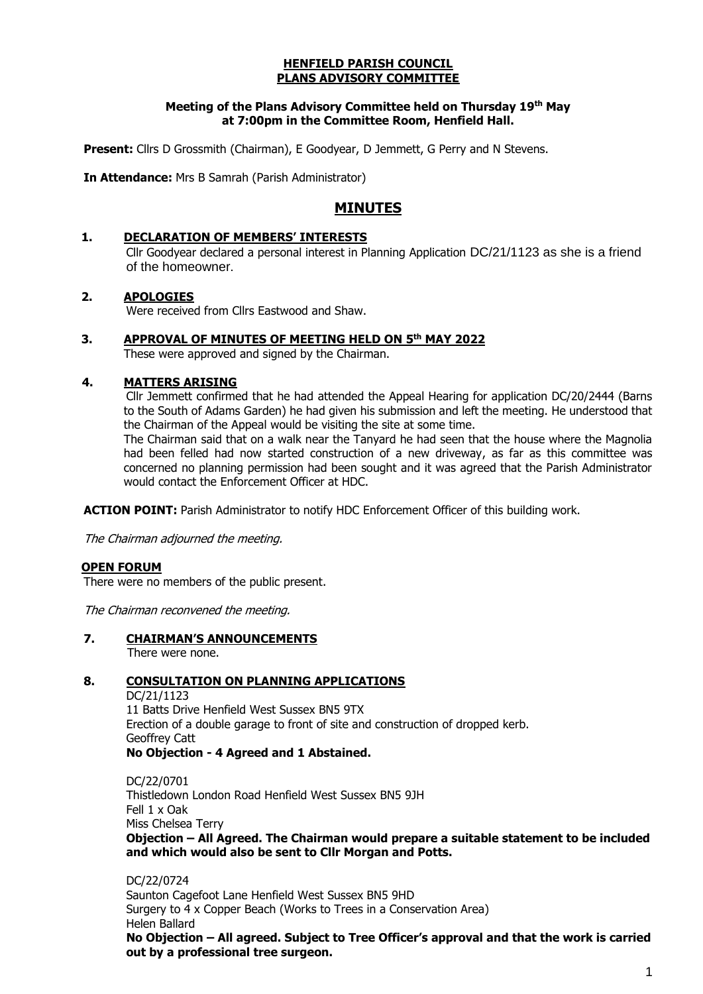#### **HENFIELD PARISH COUNCIL PLANS ADVISORY COMMITTEE**

### **Meeting of the Plans Advisory Committee held on Thursday 19th May at 7:00pm in the Committee Room, Henfield Hall.**

**Present:** Cllrs D Grossmith (Chairman), E Goodyear, D Jemmett, G Perry and N Stevens.

**In Attendance:** Mrs B Samrah (Parish Administrator)

# **MINUTES**

### **1. DECLARATION OF MEMBERS' INTERESTS**

Cllr Goodyear declared a personal interest in Planning Application DC/21/1123 as she is a friend of the homeowner.

### **2. APOLOGIES**

Were received from Cllrs Eastwood and Shaw.

### **3. APPROVAL OF MINUTES OF MEETING HELD ON 5 th MAY 2022**

These were approved and signed by the Chairman.

### **4. MATTERS ARISING**

Cllr Jemmett confirmed that he had attended the Appeal Hearing for application DC/20/2444 (Barns to the South of Adams Garden) he had given his submission and left the meeting. He understood that the Chairman of the Appeal would be visiting the site at some time.

The Chairman said that on a walk near the Tanyard he had seen that the house where the Magnolia had been felled had now started construction of a new driveway, as far as this committee was concerned no planning permission had been sought and it was agreed that the Parish Administrator would contact the Enforcement Officer at HDC.

**ACTION POINT:** Parish Administrator to notify HDC Enforcement Officer of this building work.

The Chairman adjourned the meeting.

### **OPEN FORUM**

There were no members of the public present.

The Chairman reconvened the meeting.

**7. CHAIRMAN'S ANNOUNCEMENTS**

There were none.

## **8. CONSULTATION ON PLANNING APPLICATIONS**

DC/21/1123 11 Batts Drive Henfield West Sussex BN5 9TX Erection of a double garage to front of site and construction of dropped kerb. Geoffrey Catt **No Objection - 4 Agreed and 1 Abstained.**

DC/22/0701 Thistledown London Road Henfield West Sussex BN5 9JH Fell 1 x Oak Miss Chelsea Terry **Objection – All Agreed. The Chairman would prepare a suitable statement to be included and which would also be sent to Cllr Morgan and Potts.**

DC/22/0724 Saunton Cagefoot Lane Henfield West Sussex BN5 9HD Surgery to 4 x Copper Beach (Works to Trees in a Conservation Area) Helen Ballard **No Objection – All agreed. Subject to Tree Officer's approval and that the work is carried out by a professional tree surgeon.**